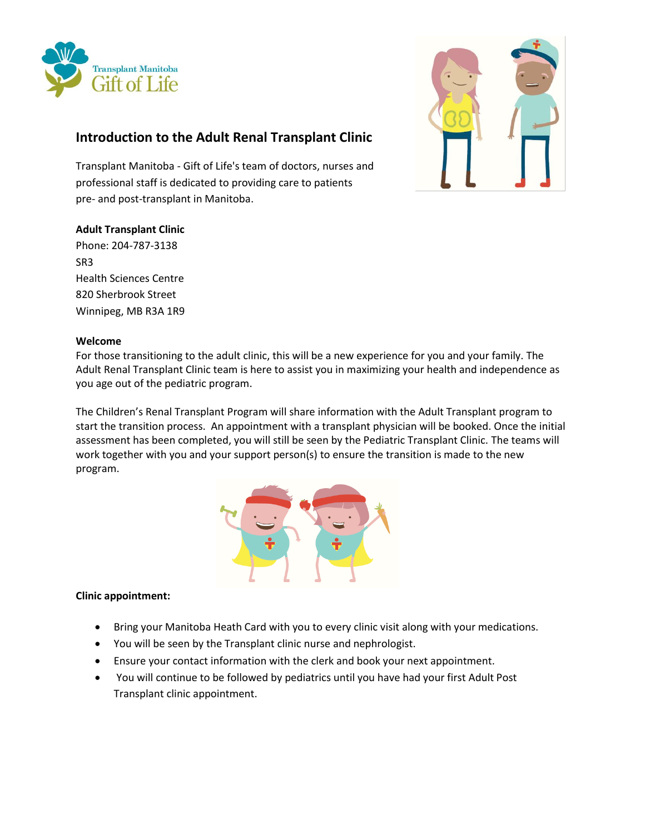

# **Introduction to the Adult Renal Transplant Clinic**

Transplant Manitoba - Gift of Life's team of doctors, nurses and professional staff is dedicated to providing care to patients pre- and post-transplant in Manitoba.

## **Adult Transplant Clinic**

Phone: 204-787-3138 SR3 Health Sciences Centre 820 Sherbrook Street Winnipeg, MB R3A 1R9



## **Welcome**

For those transitioning to the adult clinic, this will be a new experience for you and your family. The Adult Renal Transplant Clinic team is here to assist you in maximizing your health and independence as you age out of the pediatric program.

The Children's Renal Transplant Program will share information with the Adult Transplant program to start the transition process. An appointment with a transplant physician will be booked. Once the initial assessment has been completed, you will still be seen by the Pediatric Transplant Clinic. The teams will work together with you and your support person(s) to ensure the transition is made to the new program.



# **Clinic appointment:**

- Bring your Manitoba Heath Card with you to every clinic visit along with your medications.
- You will be seen by the Transplant clinic nurse and nephrologist.
- Ensure your contact information with the clerk and book your next appointment.
- You will continue to be followed by pediatrics until you have had your first Adult Post Transplant clinic appointment.